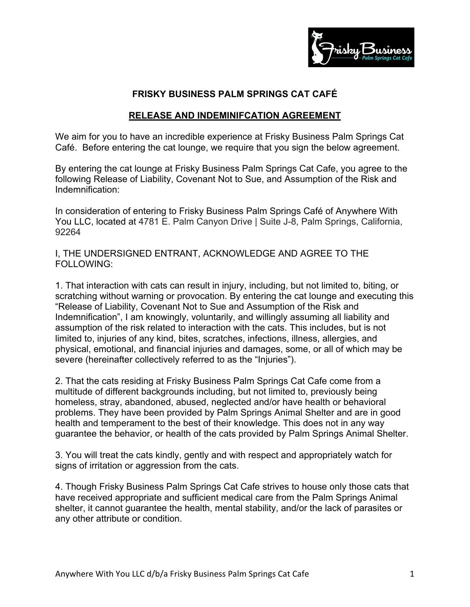

## **FRISKY BUSINESS PALM SPRINGS CAT CAFÉ**

## **RELEASE AND INDEMINIFCATION AGREEMENT**

We aim for you to have an incredible experience at Frisky Business Palm Springs Cat Café. Before entering the cat lounge, we require that you sign the below agreement.

By entering the cat lounge at Frisky Business Palm Springs Cat Cafe, you agree to the following Release of Liability, Covenant Not to Sue, and Assumption of the Risk and Indemnification:

In consideration of entering to Frisky Business Palm Springs Café of Anywhere With You LLC, located at 4781 E. Palm Canyon Drive | Suite J-8, Palm Springs, California, 92264

I, THE UNDERSIGNED ENTRANT, ACKNOWLEDGE AND AGREE TO THE FOLLOWING:

1. That interaction with cats can result in injury, including, but not limited to, biting, or scratching without warning or provocation. By entering the cat lounge and executing this "Release of Liability, Covenant Not to Sue and Assumption of the Risk and Indemnification", I am knowingly, voluntarily, and willingly assuming all liability and assumption of the risk related to interaction with the cats. This includes, but is not limited to, injuries of any kind, bites, scratches, infections, illness, allergies, and physical, emotional, and financial injuries and damages, some, or all of which may be severe (hereinafter collectively referred to as the "Injuries").

2. That the cats residing at Frisky Business Palm Springs Cat Cafe come from a multitude of different backgrounds including, but not limited to, previously being homeless, stray, abandoned, abused, neglected and/or have health or behavioral problems. They have been provided by Palm Springs Animal Shelter and are in good health and temperament to the best of their knowledge. This does not in any way guarantee the behavior, or health of the cats provided by Palm Springs Animal Shelter.

3. You will treat the cats kindly, gently and with respect and appropriately watch for signs of irritation or aggression from the cats.

4. Though Frisky Business Palm Springs Cat Cafe strives to house only those cats that have received appropriate and sufficient medical care from the Palm Springs Animal shelter, it cannot guarantee the health, mental stability, and/or the lack of parasites or any other attribute or condition.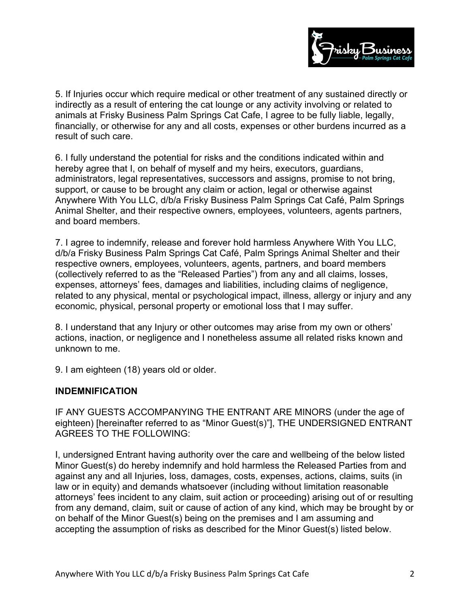

5. If Injuries occur which require medical or other treatment of any sustained directly or indirectly as a result of entering the cat lounge or any activity involving or related to animals at Frisky Business Palm Springs Cat Cafe, I agree to be fully liable, legally, financially, or otherwise for any and all costs, expenses or other burdens incurred as a result of such care.

6. I fully understand the potential for risks and the conditions indicated within and hereby agree that I, on behalf of myself and my heirs, executors, guardians, administrators, legal representatives, successors and assigns, promise to not bring, support, or cause to be brought any claim or action, legal or otherwise against Anywhere With You LLC, d/b/a Frisky Business Palm Springs Cat Café, Palm Springs Animal Shelter, and their respective owners, employees, volunteers, agents partners, and board members.

7. I agree to indemnify, release and forever hold harmless Anywhere With You LLC, d/b/a Frisky Business Palm Springs Cat Café, Palm Springs Animal Shelter and their respective owners, employees, volunteers, agents, partners, and board members (collectively referred to as the "Released Parties") from any and all claims, losses, expenses, attorneys' fees, damages and liabilities, including claims of negligence, related to any physical, mental or psychological impact, illness, allergy or injury and any economic, physical, personal property or emotional loss that I may suffer.

8. I understand that any Injury or other outcomes may arise from my own or others' actions, inaction, or negligence and I nonetheless assume all related risks known and unknown to me.

9. I am eighteen (18) years old or older.

## **INDEMNIFICATION**

IF ANY GUESTS ACCOMPANYING THE ENTRANT ARE MINORS (under the age of eighteen) [hereinafter referred to as "Minor Guest(s)"], THE UNDERSIGNED ENTRANT AGREES TO THE FOLLOWING:

I, undersigned Entrant having authority over the care and wellbeing of the below listed Minor Guest(s) do hereby indemnify and hold harmless the Released Parties from and against any and all Injuries, loss, damages, costs, expenses, actions, claims, suits (in law or in equity) and demands whatsoever (including without limitation reasonable attorneys' fees incident to any claim, suit action or proceeding) arising out of or resulting from any demand, claim, suit or cause of action of any kind, which may be brought by or on behalf of the Minor Guest(s) being on the premises and I am assuming and accepting the assumption of risks as described for the Minor Guest(s) listed below.